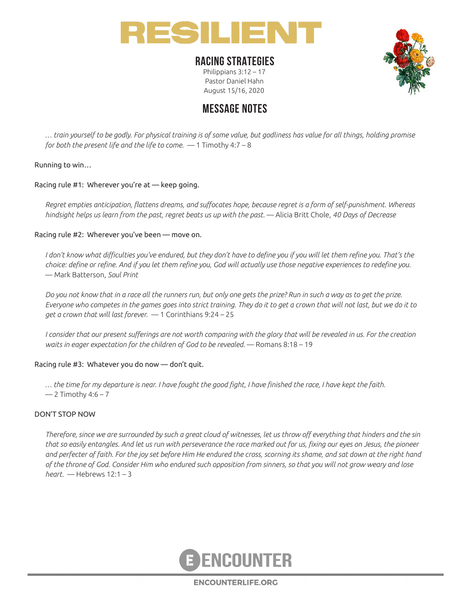

### **RACING STRATEGIES**

Philippians 3:12 – 17 Pastor Daniel Hahn August 15/16, 2020



# **MESSAGE NOTES**

*… train yourself to be godly. For physical training is of some value, but godliness has value for all things, holding promise for both the present life and the life to come.* — 1 Timothy 4:7 – 8

### Running to win…

Racing rule #1: Wherever you're at — keep going.

*Regret empties anticipation, flattens dreams, and suffocates hope, because regret is a form of self-punishment. Whereas hindsight helps us learn from the past, regret beats us up with the past.* — Alicia Britt Chole, *40 Days of Decrease*

#### Racing rule #2: Wherever you've been — move on.

*I don't know what difficulties you've endured, but they don't have to define you if you will let them refine you. That's the choice: define or refine. And if you let them refine you, God will actually use those negative experiences to redefine you.*  — Mark Batterson, *Soul Print*

*Do you not know that in a race all the runners run, but only one gets the prize? Run in such a way as to get the prize. Everyone who competes in the games goes into strict training. They do it to get a crown that will not last, but we do it to get a crown that will last forever.* — 1 Corinthians 9:24 – 25

*I consider that our present sufferings are not worth comparing with the glory that will be revealed in us. For the creation waits in eager expectation for the children of God to be revealed.* — Romans 8:18 – 19

#### Racing rule #3: Whatever you do now — don't quit.

*… the time for my departure is near. I have fought the good fight, I have finished the race, I have kept the faith.*   $-$  2 Timothy 4:6 – 7

#### DON'T STOP NOW

*Therefore, since we are surrounded by such a great cloud of witnesses, let us throw off everything that hinders and the sin that so easily entangles. And let us run with perseverance the race marked out for us, fixing our eyes on Jesus, the pioneer and perfecter of faith. For the joy set before Him He endured the cross, scorning its shame, and sat down at the right hand of the throne of God. Consider Him who endured such opposition from sinners, so that you will not grow weary and lose heart.* — Hebrews 12:1 – 3